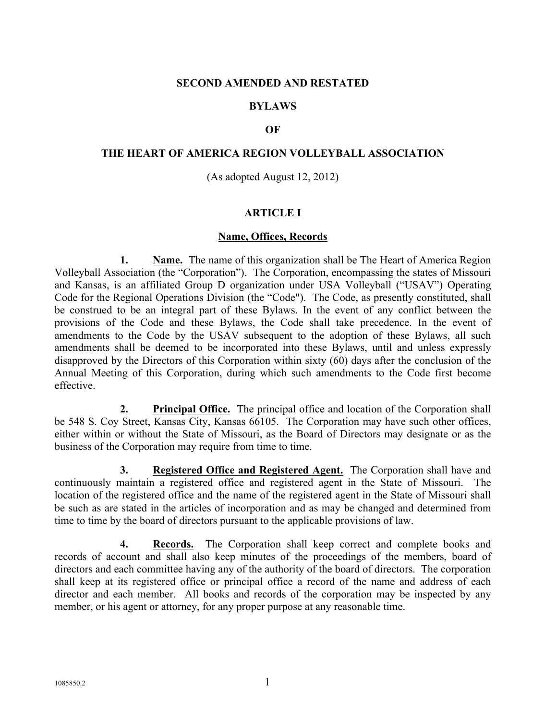### **SECOND AMENDED AND RESTATED**

## **BYLAWS**

### **OF**

### **THE HEART OF AMERICA REGION VOLLEYBALL ASSOCIATION**

(As adopted August 12, 2012)

### **ARTICLE I**

### **Name, Offices, Records**

**1. Name.** The name of this organization shall be The Heart of America Region Volleyball Association (the "Corporation"). The Corporation, encompassing the states of Missouri and Kansas, is an affiliated Group D organization under USA Volleyball ("USAV") Operating Code for the Regional Operations Division (the "Code"). The Code, as presently constituted, shall be construed to be an integral part of these Bylaws. In the event of any conflict between the provisions of the Code and these Bylaws, the Code shall take precedence. In the event of amendments to the Code by the USAV subsequent to the adoption of these Bylaws, all such amendments shall be deemed to be incorporated into these Bylaws, until and unless expressly disapproved by the Directors of this Corporation within sixty (60) days after the conclusion of the Annual Meeting of this Corporation, during which such amendments to the Code first become effective.

**2. Principal Office.** The principal office and location of the Corporation shall be 548 S. Coy Street, Kansas City, Kansas 66105. The Corporation may have such other offices, either within or without the State of Missouri, as the Board of Directors may designate or as the business of the Corporation may require from time to time.

**3. Registered Office and Registered Agent.** The Corporation shall have and continuously maintain a registered office and registered agent in the State of Missouri. The location of the registered office and the name of the registered agent in the State of Missouri shall be such as are stated in the articles of incorporation and as may be changed and determined from time to time by the board of directors pursuant to the applicable provisions of law.

**4. Records.** The Corporation shall keep correct and complete books and records of account and shall also keep minutes of the proceedings of the members, board of directors and each committee having any of the authority of the board of directors. The corporation shall keep at its registered office or principal office a record of the name and address of each director and each member. All books and records of the corporation may be inspected by any member, or his agent or attorney, for any proper purpose at any reasonable time.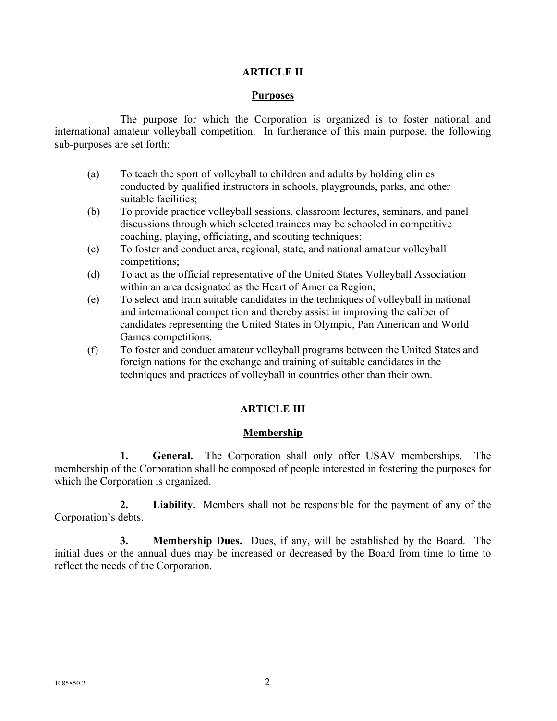# **ARTICLE II**

## **Purposes**

The purpose for which the Corporation is organized is to foster national and international amateur volleyball competition. In furtherance of this main purpose, the following sub-purposes are set forth:

- (a) To teach the sport of volleyball to children and adults by holding clinics conducted by qualified instructors in schools, playgrounds, parks, and other suitable facilities;
- (b) To provide practice volleyball sessions, classroom lectures, seminars, and panel discussions through which selected trainees may be schooled in competitive coaching, playing, officiating, and scouting techniques;
- (c) To foster and conduct area, regional, state, and national amateur volleyball competitions;
- (d) To act as the official representative of the United States Volleyball Association within an area designated as the Heart of America Region;
- (e) To select and train suitable candidates in the techniques of volleyball in national and international competition and thereby assist in improving the caliber of candidates representing the United States in Olympic, Pan American and World Games competitions.
- (f) To foster and conduct amateur volleyball programs between the United States and foreign nations for the exchange and training of suitable candidates in the techniques and practices of volleyball in countries other than their own.

# **ARTICLE III**

# **Membership**

**1. General.** The Corporation shall only offer USAV memberships. The membership of the Corporation shall be composed of people interested in fostering the purposes for which the Corporation is organized.

**2. Liability.** Members shall not be responsible for the payment of any of the Corporation's debts.

**3. Membership Dues.** Dues, if any, will be established by the Board. The initial dues or the annual dues may be increased or decreased by the Board from time to time to reflect the needs of the Corporation.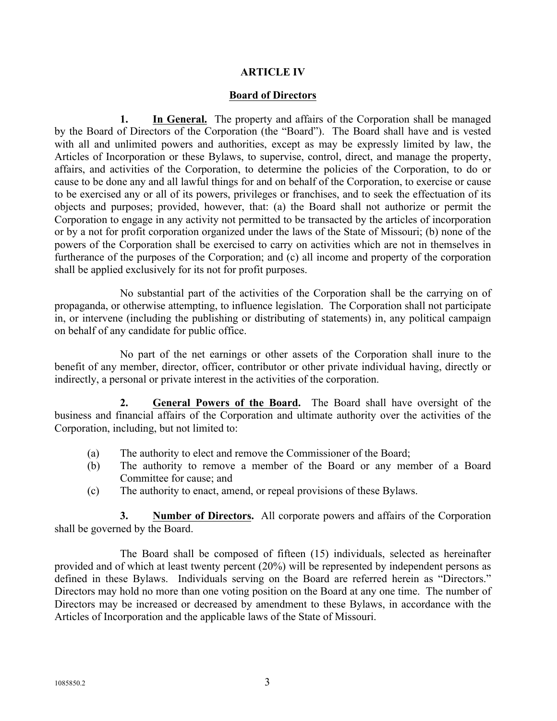## **ARTICLE IV**

## **Board of Directors**

**1. In General.** The property and affairs of the Corporation shall be managed by the Board of Directors of the Corporation (the "Board"). The Board shall have and is vested with all and unlimited powers and authorities, except as may be expressly limited by law, the Articles of Incorporation or these Bylaws, to supervise, control, direct, and manage the property, affairs, and activities of the Corporation, to determine the policies of the Corporation, to do or cause to be done any and all lawful things for and on behalf of the Corporation, to exercise or cause to be exercised any or all of its powers, privileges or franchises, and to seek the effectuation of its objects and purposes; provided, however, that: (a) the Board shall not authorize or permit the Corporation to engage in any activity not permitted to be transacted by the articles of incorporation or by a not for profit corporation organized under the laws of the State of Missouri; (b) none of the powers of the Corporation shall be exercised to carry on activities which are not in themselves in furtherance of the purposes of the Corporation; and (c) all income and property of the corporation shall be applied exclusively for its not for profit purposes.

No substantial part of the activities of the Corporation shall be the carrying on of propaganda, or otherwise attempting, to influence legislation. The Corporation shall not participate in, or intervene (including the publishing or distributing of statements) in, any political campaign on behalf of any candidate for public office.

No part of the net earnings or other assets of the Corporation shall inure to the benefit of any member, director, officer, contributor or other private individual having, directly or indirectly, a personal or private interest in the activities of the corporation.

**2. General Powers of the Board.** The Board shall have oversight of the business and financial affairs of the Corporation and ultimate authority over the activities of the Corporation, including, but not limited to:

- (a) The authority to elect and remove the Commissioner of the Board;
- (b) The authority to remove a member of the Board or any member of a Board Committee for cause; and
- (c) The authority to enact, amend, or repeal provisions of these Bylaws.

**3. Number of Directors.** All corporate powers and affairs of the Corporation shall be governed by the Board.

The Board shall be composed of fifteen (15) individuals, selected as hereinafter provided and of which at least twenty percent (20%) will be represented by independent persons as defined in these Bylaws. Individuals serving on the Board are referred herein as "Directors." Directors may hold no more than one voting position on the Board at any one time. The number of Directors may be increased or decreased by amendment to these Bylaws, in accordance with the Articles of Incorporation and the applicable laws of the State of Missouri.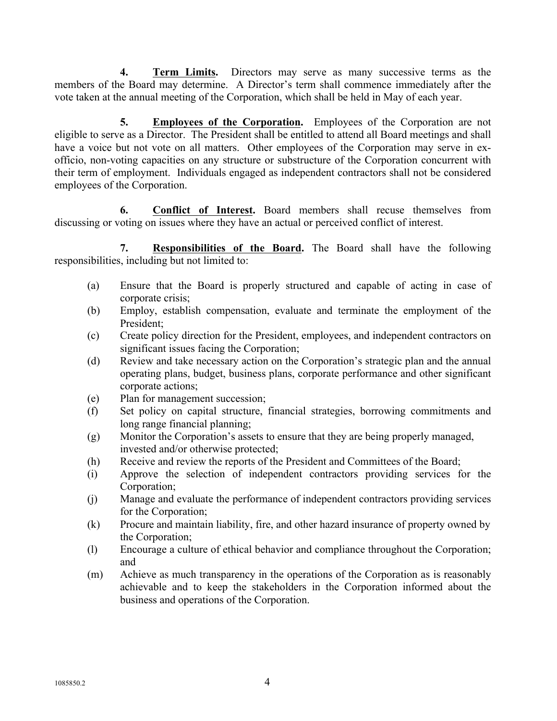**4. Term Limits.** Directors may serve as many successive terms as the members of the Board may determine. A Director's term shall commence immediately after the vote taken at the annual meeting of the Corporation, which shall be held in May of each year.

**5. Employees of the Corporation.** Employees of the Corporation are not eligible to serve as a Director. The President shall be entitled to attend all Board meetings and shall have a voice but not vote on all matters. Other employees of the Corporation may serve in exofficio, non-voting capacities on any structure or substructure of the Corporation concurrent with their term of employment. Individuals engaged as independent contractors shall not be considered employees of the Corporation.

**6. Conflict of Interest.** Board members shall recuse themselves from discussing or voting on issues where they have an actual or perceived conflict of interest.

**7. Responsibilities of the Board.** The Board shall have the following responsibilities, including but not limited to:

- (a) Ensure that the Board is properly structured and capable of acting in case of corporate crisis;
- (b) Employ, establish compensation, evaluate and terminate the employment of the President;
- (c) Create policy direction for the President, employees, and independent contractors on significant issues facing the Corporation;
- (d) Review and take necessary action on the Corporation's strategic plan and the annual operating plans, budget, business plans, corporate performance and other significant corporate actions;
- (e) Plan for management succession;
- (f) Set policy on capital structure, financial strategies, borrowing commitments and long range financial planning;
- (g) Monitor the Corporation's assets to ensure that they are being properly managed, invested and/or otherwise protected;
- (h) Receive and review the reports of the President and Committees of the Board;
- (i) Approve the selection of independent contractors providing services for the Corporation;
- (j) Manage and evaluate the performance of independent contractors providing services for the Corporation;
- (k) Procure and maintain liability, fire, and other hazard insurance of property owned by the Corporation;
- (l) Encourage a culture of ethical behavior and compliance throughout the Corporation; and
- (m) Achieve as much transparency in the operations of the Corporation as is reasonably achievable and to keep the stakeholders in the Corporation informed about the business and operations of the Corporation.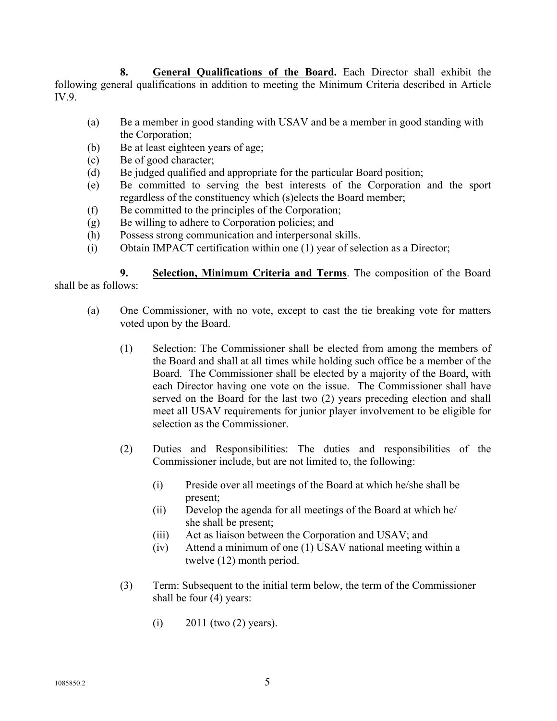**8. General Qualifications of the Board.** Each Director shall exhibit the following general qualifications in addition to meeting the Minimum Criteria described in Article IV.9.

- (a) Be a member in good standing with USAV and be a member in good standing with the Corporation;
- (b) Be at least eighteen years of age;
- (c) Be of good character;
- (d) Be judged qualified and appropriate for the particular Board position;
- (e) Be committed to serving the best interests of the Corporation and the sport regardless of the constituency which (s)elects the Board member;
- (f) Be committed to the principles of the Corporation;
- (g) Be willing to adhere to Corporation policies; and
- (h) Possess strong communication and interpersonal skills.
- (i) Obtain IMPACT certification within one (1) year of selection as a Director;

**9. Selection, Minimum Criteria and Terms**. The composition of the Board shall be as follows:

- (a) One Commissioner, with no vote, except to cast the tie breaking vote for matters voted upon by the Board.
	- (1) Selection: The Commissioner shall be elected from among the members of the Board and shall at all times while holding such office be a member of the Board. The Commissioner shall be elected by a majority of the Board, with each Director having one vote on the issue. The Commissioner shall have served on the Board for the last two (2) years preceding election and shall meet all USAV requirements for junior player involvement to be eligible for selection as the Commissioner.
	- (2) Duties and Responsibilities: The duties and responsibilities of the Commissioner include, but are not limited to, the following:
		- (i) Preside over all meetings of the Board at which he/she shall be present;
		- (ii) Develop the agenda for all meetings of the Board at which he/ she shall be present;
		- (iii) Act as liaison between the Corporation and USAV; and
		- (iv) Attend a minimum of one (1) USAV national meeting within a twelve (12) month period.
	- (3) Term: Subsequent to the initial term below, the term of the Commissioner shall be four (4) years:
		- (i)  $2011$  (two  $(2)$  years).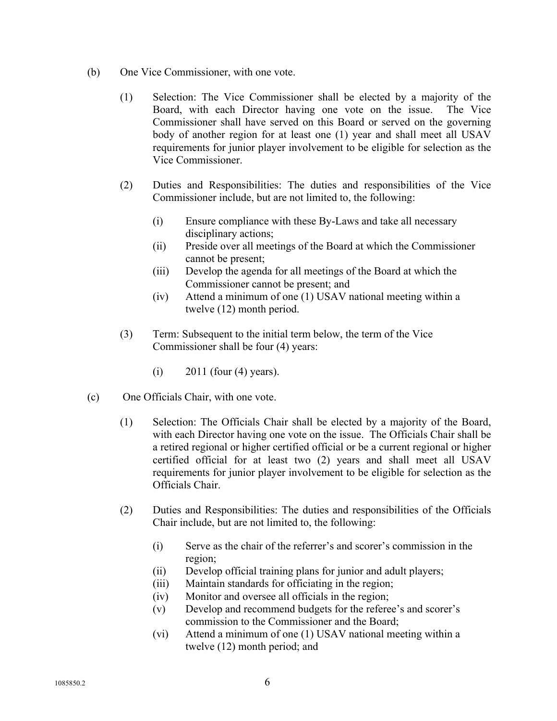- (b) One Vice Commissioner, with one vote.
	- (1) Selection: The Vice Commissioner shall be elected by a majority of the Board, with each Director having one vote on the issue. The Vice Commissioner shall have served on this Board or served on the governing body of another region for at least one (1) year and shall meet all USAV requirements for junior player involvement to be eligible for selection as the Vice Commissioner.
	- (2) Duties and Responsibilities: The duties and responsibilities of the Vice Commissioner include, but are not limited to, the following:
		- (i) Ensure compliance with these By-Laws and take all necessary disciplinary actions;
		- (ii) Preside over all meetings of the Board at which the Commissioner cannot be present;
		- (iii) Develop the agenda for all meetings of the Board at which the Commissioner cannot be present; and
		- (iv) Attend a minimum of one (1) USAV national meeting within a twelve (12) month period.
	- (3) Term: Subsequent to the initial term below, the term of the Vice Commissioner shall be four (4) years:
		- (i) 2011 (four (4) years).
- (c) One Officials Chair, with one vote.
	- (1) Selection: The Officials Chair shall be elected by a majority of the Board, with each Director having one vote on the issue. The Officials Chair shall be a retired regional or higher certified official or be a current regional or higher certified official for at least two (2) years and shall meet all USAV requirements for junior player involvement to be eligible for selection as the Officials Chair.
	- (2) Duties and Responsibilities: The duties and responsibilities of the Officials Chair include, but are not limited to, the following:
		- (i) Serve as the chair of the referrer's and scorer's commission in the region;
		- (ii) Develop official training plans for junior and adult players;
		- (iii) Maintain standards for officiating in the region;
		- (iv) Monitor and oversee all officials in the region;
		- (v) Develop and recommend budgets for the referee's and scorer's commission to the Commissioner and the Board;
		- (vi) Attend a minimum of one (1) USAV national meeting within a twelve (12) month period; and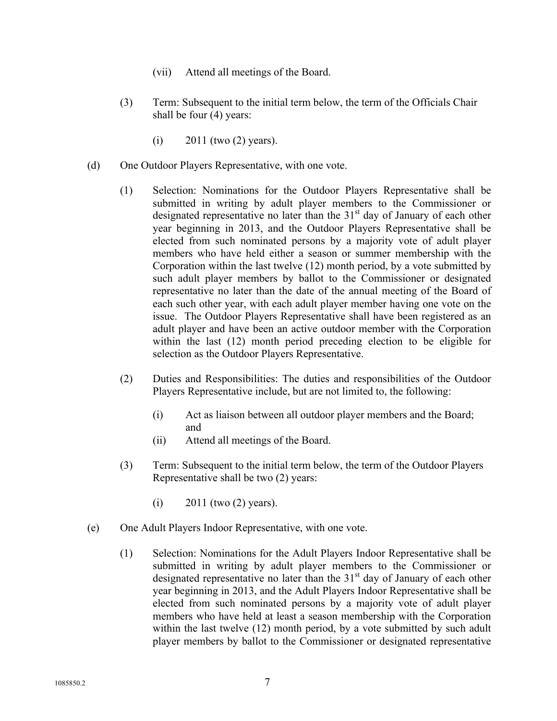- (vii) Attend all meetings of the Board.
- (3) Term: Subsequent to the initial term below, the term of the Officials Chair shall be four (4) years:
	- (i)  $2011$  (two  $(2)$  years).
- (d) One Outdoor Players Representative, with one vote.
	- (1) Selection: Nominations for the Outdoor Players Representative shall be submitted in writing by adult player members to the Commissioner or designated representative no later than the  $31<sup>st</sup>$  day of January of each other year beginning in 2013, and the Outdoor Players Representative shall be elected from such nominated persons by a majority vote of adult player members who have held either a season or summer membership with the Corporation within the last twelve (12) month period, by a vote submitted by such adult player members by ballot to the Commissioner or designated representative no later than the date of the annual meeting of the Board of each such other year, with each adult player member having one vote on the issue. The Outdoor Players Representative shall have been registered as an adult player and have been an active outdoor member with the Corporation within the last (12) month period preceding election to be eligible for selection as the Outdoor Players Representative.
	- (2) Duties and Responsibilities: The duties and responsibilities of the Outdoor Players Representative include, but are not limited to, the following:
		- (i) Act as liaison between all outdoor player members and the Board; and
		- (ii) Attend all meetings of the Board.
	- (3) Term: Subsequent to the initial term below, the term of the Outdoor Players Representative shall be two (2) years:
		- (i)  $2011$  (two  $(2)$  years).
- (e) One Adult Players Indoor Representative, with one vote.
	- (1) Selection: Nominations for the Adult Players Indoor Representative shall be submitted in writing by adult player members to the Commissioner or designated representative no later than the  $31<sup>st</sup>$  day of January of each other year beginning in 2013, and the Adult Players Indoor Representative shall be elected from such nominated persons by a majority vote of adult player members who have held at least a season membership with the Corporation within the last twelve (12) month period, by a vote submitted by such adult player members by ballot to the Commissioner or designated representative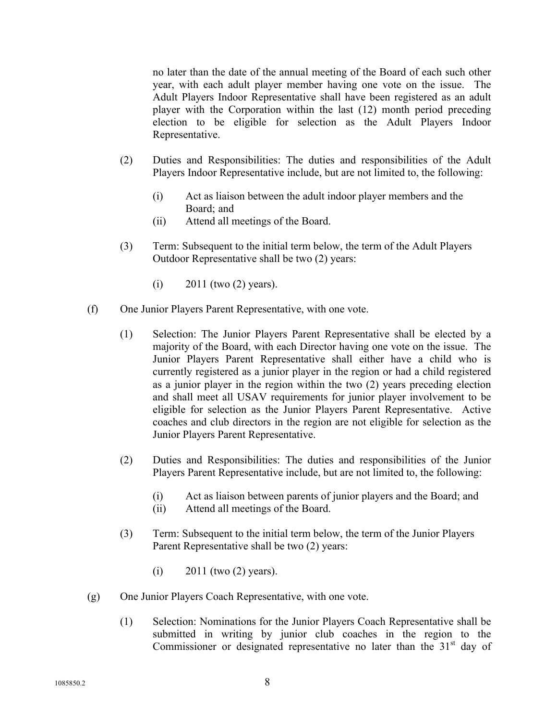no later than the date of the annual meeting of the Board of each such other year, with each adult player member having one vote on the issue. The Adult Players Indoor Representative shall have been registered as an adult player with the Corporation within the last (12) month period preceding election to be eligible for selection as the Adult Players Indoor Representative.

- (2) Duties and Responsibilities: The duties and responsibilities of the Adult Players Indoor Representative include, but are not limited to, the following:
	- (i) Act as liaison between the adult indoor player members and the Board; and
	- (ii) Attend all meetings of the Board.
- (3) Term: Subsequent to the initial term below, the term of the Adult Players Outdoor Representative shall be two (2) years:
	- (i)  $2011$  (two  $(2)$  years).
- (f) One Junior Players Parent Representative, with one vote.
	- (1) Selection: The Junior Players Parent Representative shall be elected by a majority of the Board, with each Director having one vote on the issue. The Junior Players Parent Representative shall either have a child who is currently registered as a junior player in the region or had a child registered as a junior player in the region within the two (2) years preceding election and shall meet all USAV requirements for junior player involvement to be eligible for selection as the Junior Players Parent Representative. Active coaches and club directors in the region are not eligible for selection as the Junior Players Parent Representative.
	- (2) Duties and Responsibilities: The duties and responsibilities of the Junior Players Parent Representative include, but are not limited to, the following:
		- (i) Act as liaison between parents of junior players and the Board; and
		- (ii) Attend all meetings of the Board.
	- (3) Term: Subsequent to the initial term below, the term of the Junior Players Parent Representative shall be two (2) years:
		- (i)  $2011$  (two  $(2)$  years).
- (g) One Junior Players Coach Representative, with one vote.
	- (1) Selection: Nominations for the Junior Players Coach Representative shall be submitted in writing by junior club coaches in the region to the Commissioner or designated representative no later than the  $31<sup>st</sup>$  day of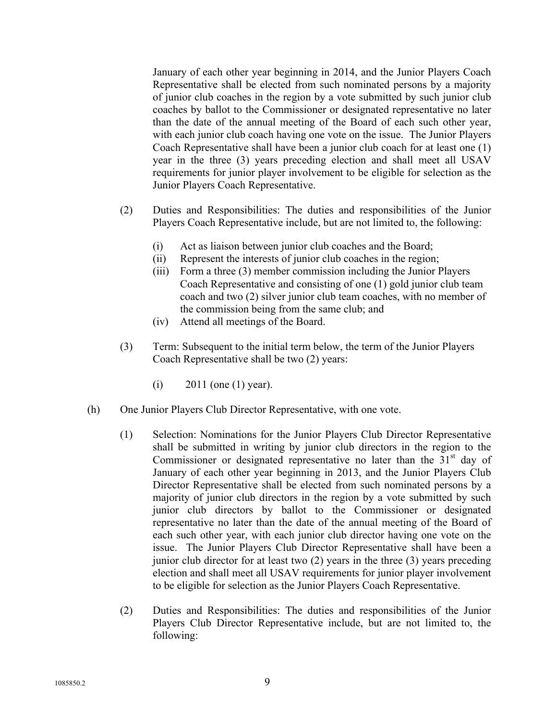January of each other year beginning in 2014, and the Junior Players Coach Representative shall be elected from such nominated persons by a majority of junior club coaches in the region by a vote submitted by such junior club coaches by ballot to the Commissioner or designated representative no later than the date of the annual meeting of the Board of each such other year, with each junior club coach having one vote on the issue. The Junior Players Coach Representative shall have been a junior club coach for at least one (1) year in the three (3) years preceding election and shall meet all USAV requirements for junior player involvement to be eligible for selection as the Junior Players Coach Representative.

- (2) Duties and Responsibilities: The duties and responsibilities of the Junior Players Coach Representative include, but are not limited to, the following:
	- (i) Act as liaison between junior club coaches and the Board;
	- (ii) Represent the interests of junior club coaches in the region;
	- (iii) Form a three (3) member commission including the Junior Players Coach Representative and consisting of one (1) gold junior club team coach and two (2) silver junior club team coaches, with no member of the commission being from the same club; and
	- (iv) Attend all meetings of the Board.
- (3) Term: Subsequent to the initial term below, the term of the Junior Players Coach Representative shall be two (2) years:
	- (i)  $2011$  (one (1) year).
- (h) One Junior Players Club Director Representative, with one vote.
	- (1) Selection: Nominations for the Junior Players Club Director Representative shall be submitted in writing by junior club directors in the region to the Commissioner or designated representative no later than the  $31<sup>st</sup>$  day of January of each other year beginning in 2013, and the Junior Players Club Director Representative shall be elected from such nominated persons by a majority of junior club directors in the region by a vote submitted by such junior club directors by ballot to the Commissioner or designated representative no later than the date of the annual meeting of the Board of each such other year, with each junior club director having one vote on the issue. The Junior Players Club Director Representative shall have been a junior club director for at least two (2) years in the three (3) years preceding election and shall meet all USAV requirements for junior player involvement to be eligible for selection as the Junior Players Coach Representative.
	- (2) Duties and Responsibilities: The duties and responsibilities of the Junior Players Club Director Representative include, but are not limited to, the following: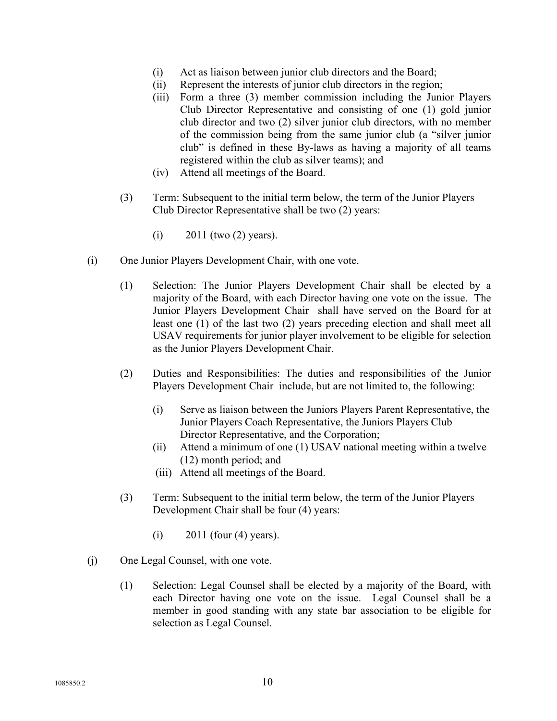- (i) Act as liaison between junior club directors and the Board;
- (ii) Represent the interests of junior club directors in the region;
- (iii) Form a three (3) member commission including the Junior Players Club Director Representative and consisting of one (1) gold junior club director and two (2) silver junior club directors, with no member of the commission being from the same junior club (a "silver junior club" is defined in these By-laws as having a majority of all teams registered within the club as silver teams); and
- (iv) Attend all meetings of the Board.
- (3) Term: Subsequent to the initial term below, the term of the Junior Players Club Director Representative shall be two (2) years:
	- (i)  $2011$  (two  $(2)$  years).
- (i) One Junior Players Development Chair, with one vote.
	- (1) Selection: The Junior Players Development Chair shall be elected by a majority of the Board, with each Director having one vote on the issue. The Junior Players Development Chair shall have served on the Board for at least one (1) of the last two (2) years preceding election and shall meet all USAV requirements for junior player involvement to be eligible for selection as the Junior Players Development Chair.
	- (2) Duties and Responsibilities: The duties and responsibilities of the Junior Players Development Chair include, but are not limited to, the following:
		- (i) Serve as liaison between the Juniors Players Parent Representative, the Junior Players Coach Representative, the Juniors Players Club Director Representative, and the Corporation;
		- (ii) Attend a minimum of one (1) USAV national meeting within a twelve (12) month period; and
		- (iii) Attend all meetings of the Board.
	- (3) Term: Subsequent to the initial term below, the term of the Junior Players Development Chair shall be four (4) years:
		- $(i)$  2011 (four  $(4)$  years).
- (j) One Legal Counsel, with one vote.
	- (1) Selection: Legal Counsel shall be elected by a majority of the Board, with each Director having one vote on the issue. Legal Counsel shall be a member in good standing with any state bar association to be eligible for selection as Legal Counsel.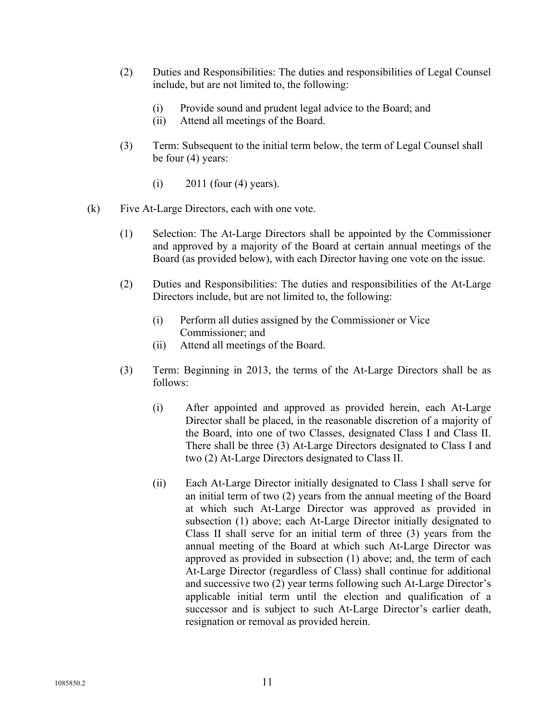- (2) Duties and Responsibilities: The duties and responsibilities of Legal Counsel include, but are not limited to, the following:
	- (i) Provide sound and prudent legal advice to the Board; and
	- (ii) Attend all meetings of the Board.
- (3) Term: Subsequent to the initial term below, the term of Legal Counsel shall be four (4) years:
	- $(i)$  2011 (four  $(4)$  years).
- (k) Five At-Large Directors, each with one vote.
	- (1) Selection: The At-Large Directors shall be appointed by the Commissioner and approved by a majority of the Board at certain annual meetings of the Board (as provided below), with each Director having one vote on the issue.
	- (2) Duties and Responsibilities: The duties and responsibilities of the At-Large Directors include, but are not limited to, the following:
		- (i) Perform all duties assigned by the Commissioner or Vice Commissioner; and
		- (ii) Attend all meetings of the Board.
	- (3) Term: Beginning in 2013, the terms of the At-Large Directors shall be as follows:
		- (i) After appointed and approved as provided herein, each At-Large Director shall be placed, in the reasonable discretion of a majority of the Board, into one of two Classes, designated Class I and Class II. There shall be three (3) At-Large Directors designated to Class I and two (2) At-Large Directors designated to Class II.
		- (ii) Each At-Large Director initially designated to Class I shall serve for an initial term of two (2) years from the annual meeting of the Board at which such At-Large Director was approved as provided in subsection (1) above; each At-Large Director initially designated to Class II shall serve for an initial term of three (3) years from the annual meeting of the Board at which such At-Large Director was approved as provided in subsection (1) above; and, the term of each At-Large Director (regardless of Class) shall continue for additional and successive two (2) year terms following such At-Large Director's applicable initial term until the election and qualification of a successor and is subject to such At-Large Director's earlier death, resignation or removal as provided herein.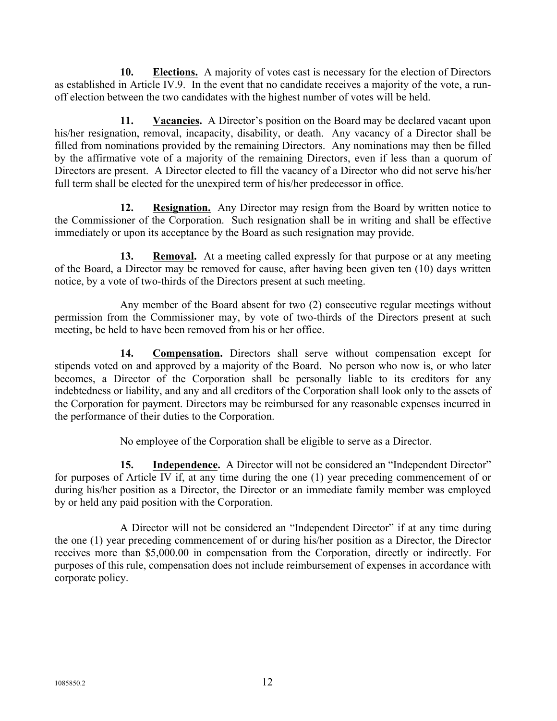**10. Elections.** A majority of votes cast is necessary for the election of Directors as established in Article IV.9. In the event that no candidate receives a majority of the vote, a runoff election between the two candidates with the highest number of votes will be held.

**11. Vacancies.** A Director's position on the Board may be declared vacant upon his/her resignation, removal, incapacity, disability, or death. Any vacancy of a Director shall be filled from nominations provided by the remaining Directors. Any nominations may then be filled by the affirmative vote of a majority of the remaining Directors, even if less than a quorum of Directors are present. A Director elected to fill the vacancy of a Director who did not serve his/her full term shall be elected for the unexpired term of his/her predecessor in office.

**12. Resignation.** Any Director may resign from the Board by written notice to the Commissioner of the Corporation. Such resignation shall be in writing and shall be effective immediately or upon its acceptance by the Board as such resignation may provide.

**13. Removal.** At a meeting called expressly for that purpose or at any meeting of the Board, a Director may be removed for cause, after having been given ten (10) days written notice, by a vote of two-thirds of the Directors present at such meeting.

Any member of the Board absent for two (2) consecutive regular meetings without permission from the Commissioner may, by vote of two-thirds of the Directors present at such meeting, be held to have been removed from his or her office.

**14. Compensation.** Directors shall serve without compensation except for stipends voted on and approved by a majority of the Board. No person who now is, or who later becomes, a Director of the Corporation shall be personally liable to its creditors for any indebtedness or liability, and any and all creditors of the Corporation shall look only to the assets of the Corporation for payment. Directors may be reimbursed for any reasonable expenses incurred in the performance of their duties to the Corporation.

No employee of the Corporation shall be eligible to serve as a Director.

**15. Independence.** A Director will not be considered an "Independent Director" for purposes of Article IV if, at any time during the one (1) year preceding commencement of or during his/her position as a Director, the Director or an immediate family member was employed by or held any paid position with the Corporation.

A Director will not be considered an "Independent Director" if at any time during the one (1) year preceding commencement of or during his/her position as a Director, the Director receives more than \$5,000.00 in compensation from the Corporation, directly or indirectly. For purposes of this rule, compensation does not include reimbursement of expenses in accordance with corporate policy.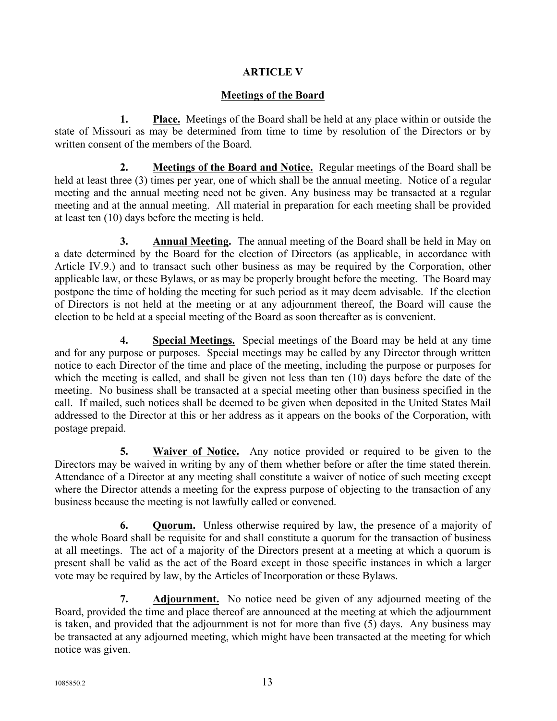# **ARTICLE V**

## **Meetings of the Board**

**1. Place.** Meetings of the Board shall be held at any place within or outside the state of Missouri as may be determined from time to time by resolution of the Directors or by written consent of the members of the Board.

**2. Meetings of the Board and Notice.** Regular meetings of the Board shall be held at least three (3) times per year, one of which shall be the annual meeting. Notice of a regular meeting and the annual meeting need not be given. Any business may be transacted at a regular meeting and at the annual meeting. All material in preparation for each meeting shall be provided at least ten (10) days before the meeting is held.

**3. Annual Meeting.** The annual meeting of the Board shall be held in May on a date determined by the Board for the election of Directors (as applicable, in accordance with Article IV.9.) and to transact such other business as may be required by the Corporation, other applicable law, or these Bylaws, or as may be properly brought before the meeting. The Board may postpone the time of holding the meeting for such period as it may deem advisable. If the election of Directors is not held at the meeting or at any adjournment thereof, the Board will cause the election to be held at a special meeting of the Board as soon thereafter as is convenient.

**4. Special Meetings.** Special meetings of the Board may be held at any time and for any purpose or purposes. Special meetings may be called by any Director through written notice to each Director of the time and place of the meeting, including the purpose or purposes for which the meeting is called, and shall be given not less than ten (10) days before the date of the meeting. No business shall be transacted at a special meeting other than business specified in the call. If mailed, such notices shall be deemed to be given when deposited in the United States Mail addressed to the Director at this or her address as it appears on the books of the Corporation, with postage prepaid.

**5. Waiver of Notice.** Any notice provided or required to be given to the Directors may be waived in writing by any of them whether before or after the time stated therein. Attendance of a Director at any meeting shall constitute a waiver of notice of such meeting except where the Director attends a meeting for the express purpose of objecting to the transaction of any business because the meeting is not lawfully called or convened.

**6. Quorum.** Unless otherwise required by law, the presence of a majority of the whole Board shall be requisite for and shall constitute a quorum for the transaction of business at all meetings. The act of a majority of the Directors present at a meeting at which a quorum is present shall be valid as the act of the Board except in those specific instances in which a larger vote may be required by law, by the Articles of Incorporation or these Bylaws.

**7. Adjournment.** No notice need be given of any adjourned meeting of the Board, provided the time and place thereof are announced at the meeting at which the adjournment is taken, and provided that the adjournment is not for more than five (5) days. Any business may be transacted at any adjourned meeting, which might have been transacted at the meeting for which notice was given.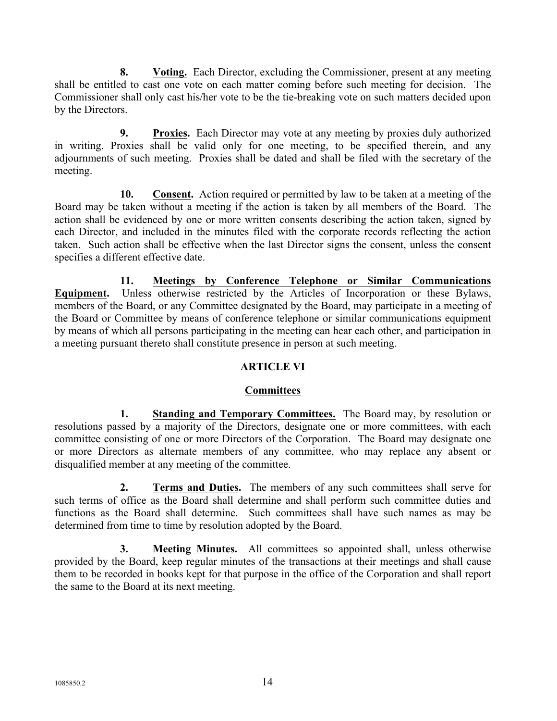**8. Voting.** Each Director, excluding the Commissioner, present at any meeting shall be entitled to cast one vote on each matter coming before such meeting for decision. The Commissioner shall only cast his/her vote to be the tie-breaking vote on such matters decided upon by the Directors.

**9. Proxies.** Each Director may vote at any meeting by proxies duly authorized in writing. Proxies shall be valid only for one meeting, to be specified therein, and any adjournments of such meeting. Proxies shall be dated and shall be filed with the secretary of the meeting.

**10. Consent.** Action required or permitted by law to be taken at a meeting of the Board may be taken without a meeting if the action is taken by all members of the Board. The action shall be evidenced by one or more written consents describing the action taken, signed by each Director, and included in the minutes filed with the corporate records reflecting the action taken. Such action shall be effective when the last Director signs the consent, unless the consent specifies a different effective date.

**11. Meetings by Conference Telephone or Similar Communications Equipment.** Unless otherwise restricted by the Articles of Incorporation or these Bylaws, members of the Board, or any Committee designated by the Board, may participate in a meeting of the Board or Committee by means of conference telephone or similar communications equipment by means of which all persons participating in the meeting can hear each other, and participation in a meeting pursuant thereto shall constitute presence in person at such meeting.

# **ARTICLE VI**

# **Committees**

**1. Standing and Temporary Committees.** The Board may, by resolution or resolutions passed by a majority of the Directors, designate one or more committees, with each committee consisting of one or more Directors of the Corporation. The Board may designate one or more Directors as alternate members of any committee, who may replace any absent or disqualified member at any meeting of the committee.

**2. Terms and Duties.** The members of any such committees shall serve for such terms of office as the Board shall determine and shall perform such committee duties and functions as the Board shall determine. Such committees shall have such names as may be determined from time to time by resolution adopted by the Board.

**3. Meeting Minutes.** All committees so appointed shall, unless otherwise provided by the Board, keep regular minutes of the transactions at their meetings and shall cause them to be recorded in books kept for that purpose in the office of the Corporation and shall report the same to the Board at its next meeting.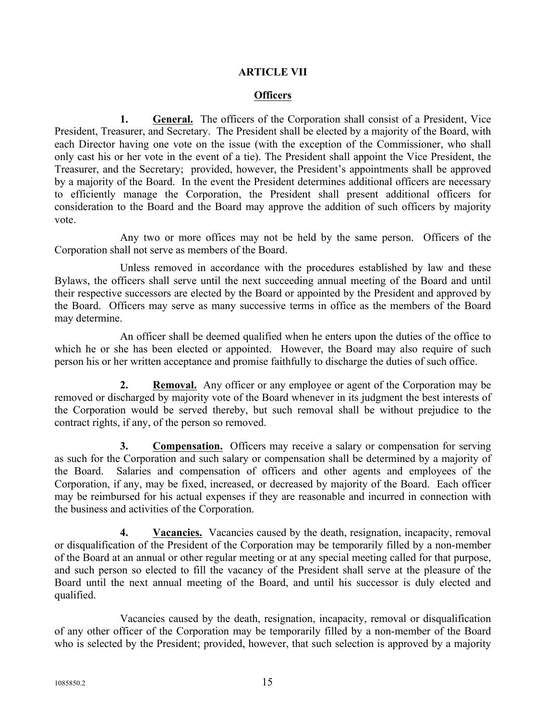# **ARTICLE VII**

## **Officers**

**1. General.** The officers of the Corporation shall consist of a President, Vice President, Treasurer, and Secretary. The President shall be elected by a majority of the Board, with each Director having one vote on the issue (with the exception of the Commissioner, who shall only cast his or her vote in the event of a tie). The President shall appoint the Vice President, the Treasurer, and the Secretary; provided, however, the President's appointments shall be approved by a majority of the Board. In the event the President determines additional officers are necessary to efficiently manage the Corporation, the President shall present additional officers for consideration to the Board and the Board may approve the addition of such officers by majority vote.

Any two or more offices may not be held by the same person. Officers of the Corporation shall not serve as members of the Board.

Unless removed in accordance with the procedures established by law and these Bylaws, the officers shall serve until the next succeeding annual meeting of the Board and until their respective successors are elected by the Board or appointed by the President and approved by the Board. Officers may serve as many successive terms in office as the members of the Board may determine.

An officer shall be deemed qualified when he enters upon the duties of the office to which he or she has been elected or appointed. However, the Board may also require of such person his or her written acceptance and promise faithfully to discharge the duties of such office.

**2. Removal.** Any officer or any employee or agent of the Corporation may be removed or discharged by majority vote of the Board whenever in its judgment the best interests of the Corporation would be served thereby, but such removal shall be without prejudice to the contract rights, if any, of the person so removed.

**3. Compensation.** Officers may receive a salary or compensation for serving as such for the Corporation and such salary or compensation shall be determined by a majority of the Board. Salaries and compensation of officers and other agents and employees of the Corporation, if any, may be fixed, increased, or decreased by majority of the Board. Each officer may be reimbursed for his actual expenses if they are reasonable and incurred in connection with the business and activities of the Corporation.

**4. Vacancies.** Vacancies caused by the death, resignation, incapacity, removal or disqualification of the President of the Corporation may be temporarily filled by a non-member of the Board at an annual or other regular meeting or at any special meeting called for that purpose, and such person so elected to fill the vacancy of the President shall serve at the pleasure of the Board until the next annual meeting of the Board, and until his successor is duly elected and qualified.

Vacancies caused by the death, resignation, incapacity, removal or disqualification of any other officer of the Corporation may be temporarily filled by a non-member of the Board who is selected by the President; provided, however, that such selection is approved by a majority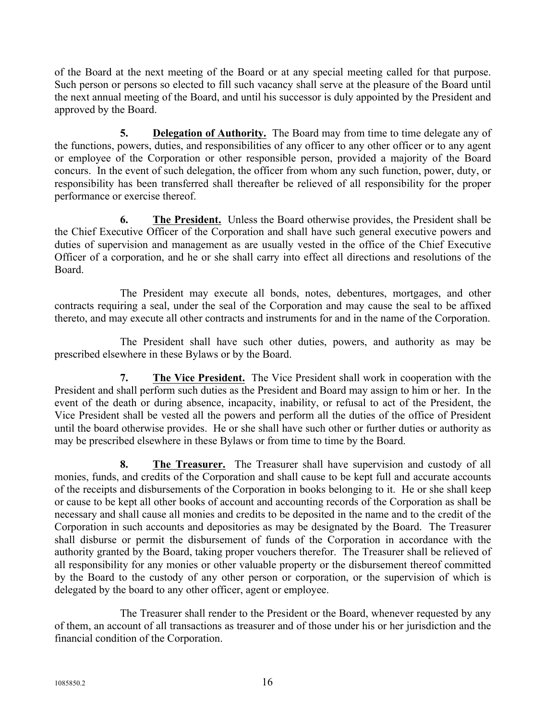of the Board at the next meeting of the Board or at any special meeting called for that purpose. Such person or persons so elected to fill such vacancy shall serve at the pleasure of the Board until the next annual meeting of the Board, and until his successor is duly appointed by the President and approved by the Board.

**5. Delegation of Authority.** The Board may from time to time delegate any of the functions, powers, duties, and responsibilities of any officer to any other officer or to any agent or employee of the Corporation or other responsible person, provided a majority of the Board concurs. In the event of such delegation, the officer from whom any such function, power, duty, or responsibility has been transferred shall thereafter be relieved of all responsibility for the proper performance or exercise thereof.

**6. The President.** Unless the Board otherwise provides, the President shall be the Chief Executive Officer of the Corporation and shall have such general executive powers and duties of supervision and management as are usually vested in the office of the Chief Executive Officer of a corporation, and he or she shall carry into effect all directions and resolutions of the Board.

The President may execute all bonds, notes, debentures, mortgages, and other contracts requiring a seal, under the seal of the Corporation and may cause the seal to be affixed thereto, and may execute all other contracts and instruments for and in the name of the Corporation.

The President shall have such other duties, powers, and authority as may be prescribed elsewhere in these Bylaws or by the Board.

**7. The Vice President.** The Vice President shall work in cooperation with the President and shall perform such duties as the President and Board may assign to him or her. In the event of the death or during absence, incapacity, inability, or refusal to act of the President, the Vice President shall be vested all the powers and perform all the duties of the office of President until the board otherwise provides. He or she shall have such other or further duties or authority as may be prescribed elsewhere in these Bylaws or from time to time by the Board.

**8. The Treasurer.** The Treasurer shall have supervision and custody of all monies, funds, and credits of the Corporation and shall cause to be kept full and accurate accounts of the receipts and disbursements of the Corporation in books belonging to it. He or she shall keep or cause to be kept all other books of account and accounting records of the Corporation as shall be necessary and shall cause all monies and credits to be deposited in the name and to the credit of the Corporation in such accounts and depositories as may be designated by the Board. The Treasurer shall disburse or permit the disbursement of funds of the Corporation in accordance with the authority granted by the Board, taking proper vouchers therefor. The Treasurer shall be relieved of all responsibility for any monies or other valuable property or the disbursement thereof committed by the Board to the custody of any other person or corporation, or the supervision of which is delegated by the board to any other officer, agent or employee.

The Treasurer shall render to the President or the Board, whenever requested by any of them, an account of all transactions as treasurer and of those under his or her jurisdiction and the financial condition of the Corporation.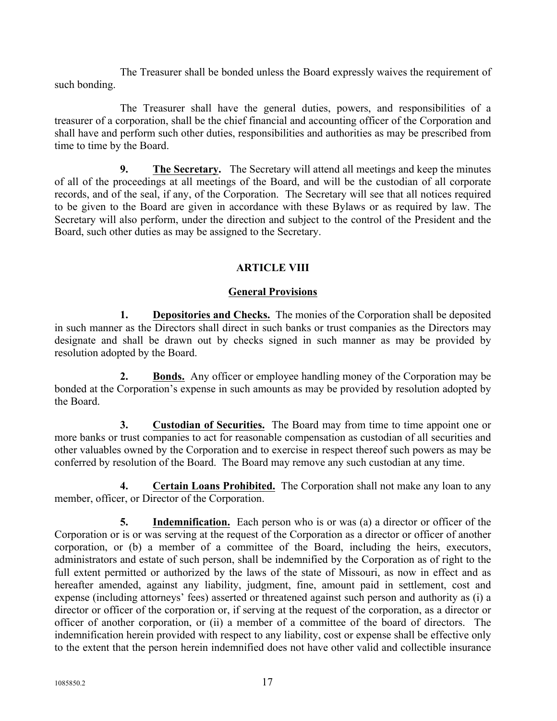The Treasurer shall be bonded unless the Board expressly waives the requirement of such bonding.

The Treasurer shall have the general duties, powers, and responsibilities of a treasurer of a corporation, shall be the chief financial and accounting officer of the Corporation and shall have and perform such other duties, responsibilities and authorities as may be prescribed from time to time by the Board.

**9. The Secretary.** The Secretary will attend all meetings and keep the minutes of all of the proceedings at all meetings of the Board, and will be the custodian of all corporate records, and of the seal, if any, of the Corporation. The Secretary will see that all notices required to be given to the Board are given in accordance with these Bylaws or as required by law. The Secretary will also perform, under the direction and subject to the control of the President and the Board, such other duties as may be assigned to the Secretary.

# **ARTICLE VIII**

# **General Provisions**

**1. Depositories and Checks.** The monies of the Corporation shall be deposited in such manner as the Directors shall direct in such banks or trust companies as the Directors may designate and shall be drawn out by checks signed in such manner as may be provided by resolution adopted by the Board.

**2. Bonds.** Any officer or employee handling money of the Corporation may be bonded at the Corporation's expense in such amounts as may be provided by resolution adopted by the Board.

**3. Custodian of Securities.** The Board may from time to time appoint one or more banks or trust companies to act for reasonable compensation as custodian of all securities and other valuables owned by the Corporation and to exercise in respect thereof such powers as may be conferred by resolution of the Board. The Board may remove any such custodian at any time.

**4. Certain Loans Prohibited.** The Corporation shall not make any loan to any member, officer, or Director of the Corporation.

**5. Indemnification.** Each person who is or was (a) a director or officer of the Corporation or is or was serving at the request of the Corporation as a director or officer of another corporation, or (b) a member of a committee of the Board, including the heirs, executors, administrators and estate of such person, shall be indemnified by the Corporation as of right to the full extent permitted or authorized by the laws of the state of Missouri, as now in effect and as hereafter amended, against any liability, judgment, fine, amount paid in settlement, cost and expense (including attorneys' fees) asserted or threatened against such person and authority as (i) a director or officer of the corporation or, if serving at the request of the corporation, as a director or officer of another corporation, or (ii) a member of a committee of the board of directors. The indemnification herein provided with respect to any liability, cost or expense shall be effective only to the extent that the person herein indemnified does not have other valid and collectible insurance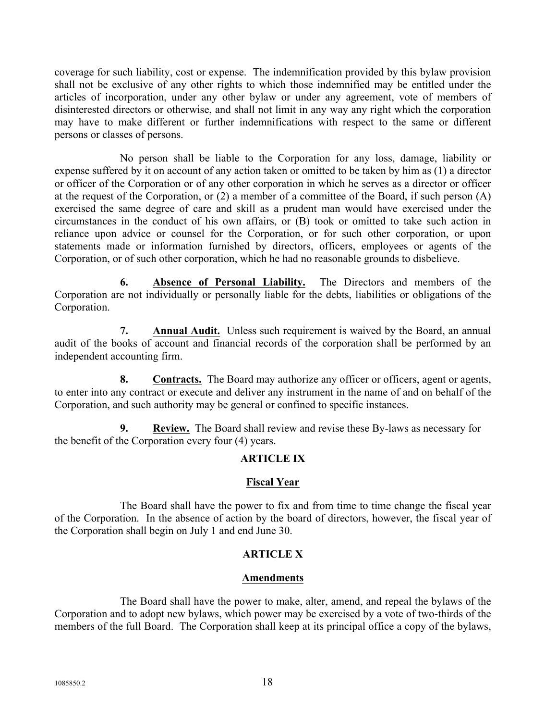coverage for such liability, cost or expense. The indemnification provided by this bylaw provision shall not be exclusive of any other rights to which those indemnified may be entitled under the articles of incorporation, under any other bylaw or under any agreement, vote of members of disinterested directors or otherwise, and shall not limit in any way any right which the corporation may have to make different or further indemnifications with respect to the same or different persons or classes of persons.

No person shall be liable to the Corporation for any loss, damage, liability or expense suffered by it on account of any action taken or omitted to be taken by him as (1) a director or officer of the Corporation or of any other corporation in which he serves as a director or officer at the request of the Corporation, or (2) a member of a committee of the Board, if such person (A) exercised the same degree of care and skill as a prudent man would have exercised under the circumstances in the conduct of his own affairs, or (B) took or omitted to take such action in reliance upon advice or counsel for the Corporation, or for such other corporation, or upon statements made or information furnished by directors, officers, employees or agents of the Corporation, or of such other corporation, which he had no reasonable grounds to disbelieve.

**6. Absence of Personal Liability.** The Directors and members of the Corporation are not individually or personally liable for the debts, liabilities or obligations of the Corporation.

**7. Annual Audit.** Unless such requirement is waived by the Board, an annual audit of the books of account and financial records of the corporation shall be performed by an independent accounting firm.

**8. Contracts.** The Board may authorize any officer or officers, agent or agents, to enter into any contract or execute and deliver any instrument in the name of and on behalf of the Corporation, and such authority may be general or confined to specific instances.

**9. Review.** The Board shall review and revise these By-laws as necessary for the benefit of the Corporation every four (4) years.

# **ARTICLE IX**

# **Fiscal Year**

The Board shall have the power to fix and from time to time change the fiscal year of the Corporation. In the absence of action by the board of directors, however, the fiscal year of the Corporation shall begin on July 1 and end June 30.

# **ARTICLE X**

# **Amendments**

The Board shall have the power to make, alter, amend, and repeal the bylaws of the Corporation and to adopt new bylaws, which power may be exercised by a vote of two-thirds of the members of the full Board. The Corporation shall keep at its principal office a copy of the bylaws,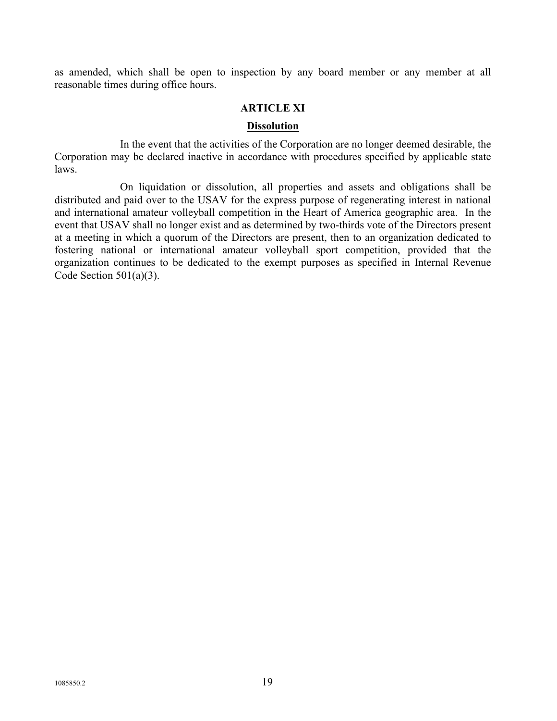as amended, which shall be open to inspection by any board member or any member at all reasonable times during office hours.

## **ARTICLE XI**

### **Dissolution**

In the event that the activities of the Corporation are no longer deemed desirable, the Corporation may be declared inactive in accordance with procedures specified by applicable state laws.

On liquidation or dissolution, all properties and assets and obligations shall be distributed and paid over to the USAV for the express purpose of regenerating interest in national and international amateur volleyball competition in the Heart of America geographic area. In the event that USAV shall no longer exist and as determined by two-thirds vote of the Directors present at a meeting in which a quorum of the Directors are present, then to an organization dedicated to fostering national or international amateur volleyball sport competition, provided that the organization continues to be dedicated to the exempt purposes as specified in Internal Revenue Code Section  $501(a)(3)$ .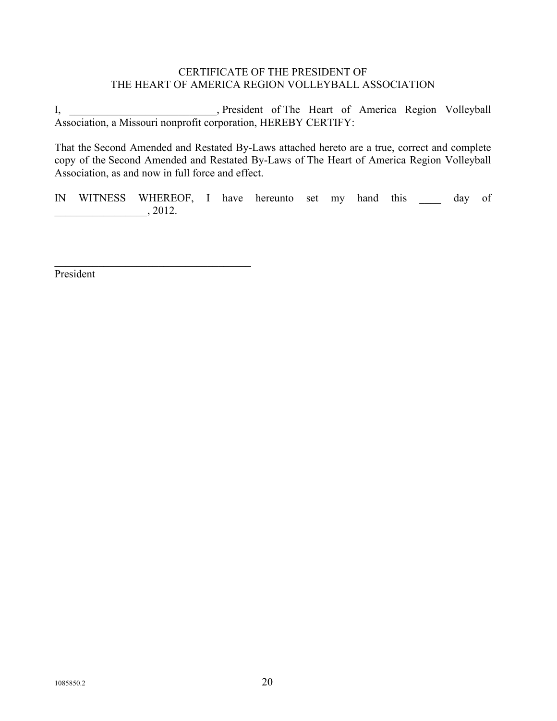# CERTIFICATE OF THE PRESIDENT OF THE HEART OF AMERICA REGION VOLLEYBALL ASSOCIATION

I, \_\_\_\_\_\_\_\_\_\_\_\_\_\_\_\_\_\_\_\_\_, President of The Heart of America Region Volleyball Association, a Missouri nonprofit corporation, HEREBY CERTIFY:

That the Second Amended and Restated By-Laws attached hereto are a true, correct and complete copy of the Second Amended and Restated By-Laws of The Heart of America Region Volleyball Association, as and now in full force and effect.

IN WITNESS WHEREOF, I have hereunto set my hand this day of  $\frac{1}{2012}$ .

President

 $\mathcal{L}_\text{max}$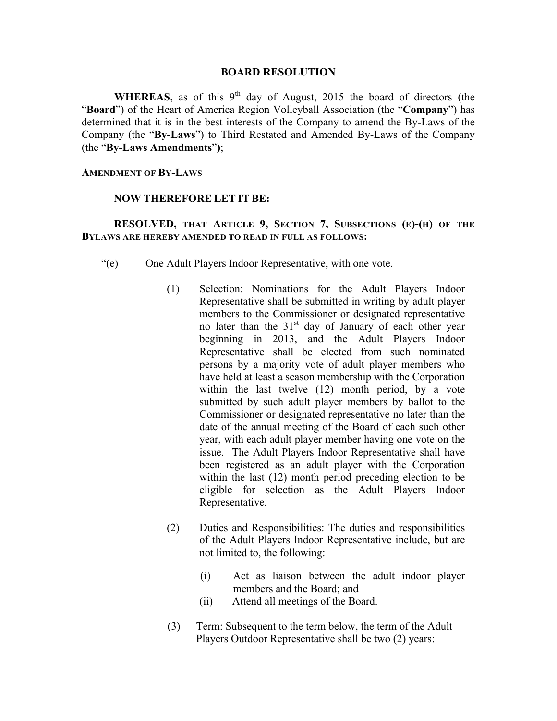### **BOARD RESOLUTION**

**WHEREAS**, as of this  $9<sup>th</sup>$  day of August, 2015 the board of directors (the "**Board**") of the Heart of America Region Volleyball Association (the "**Company**") has determined that it is in the best interests of the Company to amend the By-Laws of the Company (the "**By-Laws**") to Third Restated and Amended By-Laws of the Company (the "**By-Laws Amendments**"**)**;

### **AMENDMENT OF BY-LAWS**

### **NOW THEREFORE LET IT BE:**

## **RESOLVED, THAT ARTICLE 9, SECTION 7, SUBSECTIONS (E)-(H) OF THE BYLAWS ARE HEREBY AMENDED TO READ IN FULL AS FOLLOWS:**

- "(e) One Adult Players Indoor Representative, with one vote.
	- (1) Selection: Nominations for the Adult Players Indoor Representative shall be submitted in writing by adult player members to the Commissioner or designated representative no later than the 31<sup>st</sup> day of January of each other year beginning in 2013, and the Adult Players Indoor Representative shall be elected from such nominated persons by a majority vote of adult player members who have held at least a season membership with the Corporation within the last twelve (12) month period, by a vote submitted by such adult player members by ballot to the Commissioner or designated representative no later than the date of the annual meeting of the Board of each such other year, with each adult player member having one vote on the issue. The Adult Players Indoor Representative shall have been registered as an adult player with the Corporation within the last (12) month period preceding election to be eligible for selection as the Adult Players Indoor Representative.
	- (2) Duties and Responsibilities: The duties and responsibilities of the Adult Players Indoor Representative include, but are not limited to, the following:
		- (i) Act as liaison between the adult indoor player members and the Board; and
		- (ii) Attend all meetings of the Board.
	- (3) Term: Subsequent to the term below, the term of the Adult Players Outdoor Representative shall be two (2) years: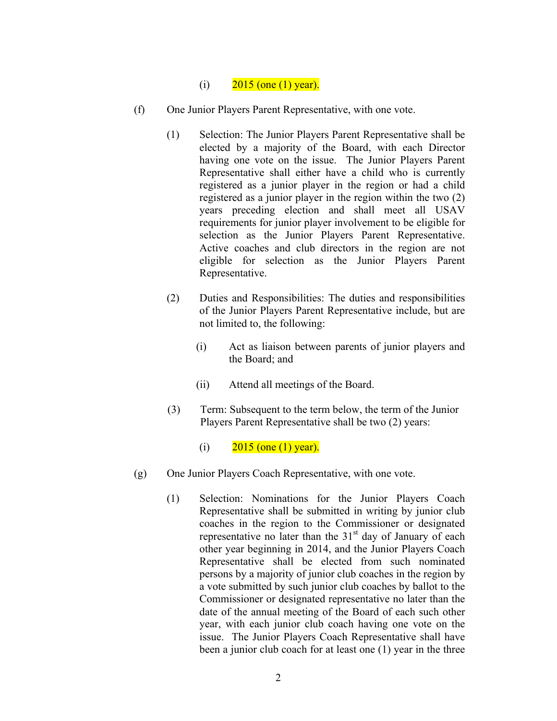## (i)  $2015$  (one (1) year).

- (f) One Junior Players Parent Representative, with one vote.
	- (1) Selection: The Junior Players Parent Representative shall be elected by a majority of the Board, with each Director having one vote on the issue. The Junior Players Parent Representative shall either have a child who is currently registered as a junior player in the region or had a child registered as a junior player in the region within the two (2) years preceding election and shall meet all USAV requirements for junior player involvement to be eligible for selection as the Junior Players Parent Representative. Active coaches and club directors in the region are not eligible for selection as the Junior Players Parent Representative.
	- (2) Duties and Responsibilities: The duties and responsibilities of the Junior Players Parent Representative include, but are not limited to, the following:
		- (i) Act as liaison between parents of junior players and the Board; and
		- (ii) Attend all meetings of the Board.
	- (3) Term: Subsequent to the term below, the term of the Junior Players Parent Representative shall be two (2) years:
		- (i)  $2015$  (one (1) year).
- (g) One Junior Players Coach Representative, with one vote.
	- (1) Selection: Nominations for the Junior Players Coach Representative shall be submitted in writing by junior club coaches in the region to the Commissioner or designated representative no later than the  $31<sup>st</sup>$  day of January of each other year beginning in 2014, and the Junior Players Coach Representative shall be elected from such nominated persons by a majority of junior club coaches in the region by a vote submitted by such junior club coaches by ballot to the Commissioner or designated representative no later than the date of the annual meeting of the Board of each such other year, with each junior club coach having one vote on the issue. The Junior Players Coach Representative shall have been a junior club coach for at least one (1) year in the three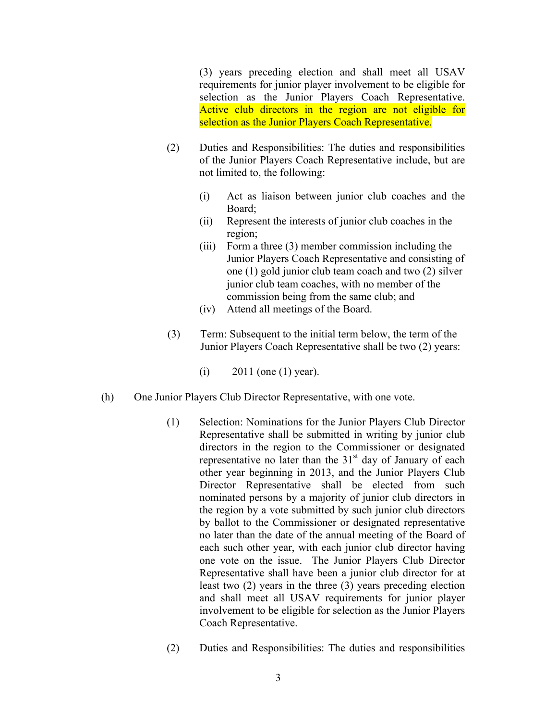(3) years preceding election and shall meet all USAV requirements for junior player involvement to be eligible for selection as the Junior Players Coach Representative. Active club directors in the region are not eligible for selection as the Junior Players Coach Representative.

- (2) Duties and Responsibilities: The duties and responsibilities of the Junior Players Coach Representative include, but are not limited to, the following:
	- (i) Act as liaison between junior club coaches and the Board;
	- (ii) Represent the interests of junior club coaches in the region;
	- (iii) Form a three (3) member commission including the Junior Players Coach Representative and consisting of one (1) gold junior club team coach and two (2) silver junior club team coaches, with no member of the commission being from the same club; and
	- (iv) Attend all meetings of the Board.
- (3) Term: Subsequent to the initial term below, the term of the Junior Players Coach Representative shall be two (2) years:
	- (i)  $2011$  (one (1) year).
- (h) One Junior Players Club Director Representative, with one vote.
	- (1) Selection: Nominations for the Junior Players Club Director Representative shall be submitted in writing by junior club directors in the region to the Commissioner or designated representative no later than the  $31<sup>st</sup>$  day of January of each other year beginning in 2013, and the Junior Players Club Director Representative shall be elected from such nominated persons by a majority of junior club directors in the region by a vote submitted by such junior club directors by ballot to the Commissioner or designated representative no later than the date of the annual meeting of the Board of each such other year, with each junior club director having one vote on the issue. The Junior Players Club Director Representative shall have been a junior club director for at least two (2) years in the three (3) years preceding election and shall meet all USAV requirements for junior player involvement to be eligible for selection as the Junior Players Coach Representative.
	- (2) Duties and Responsibilities: The duties and responsibilities